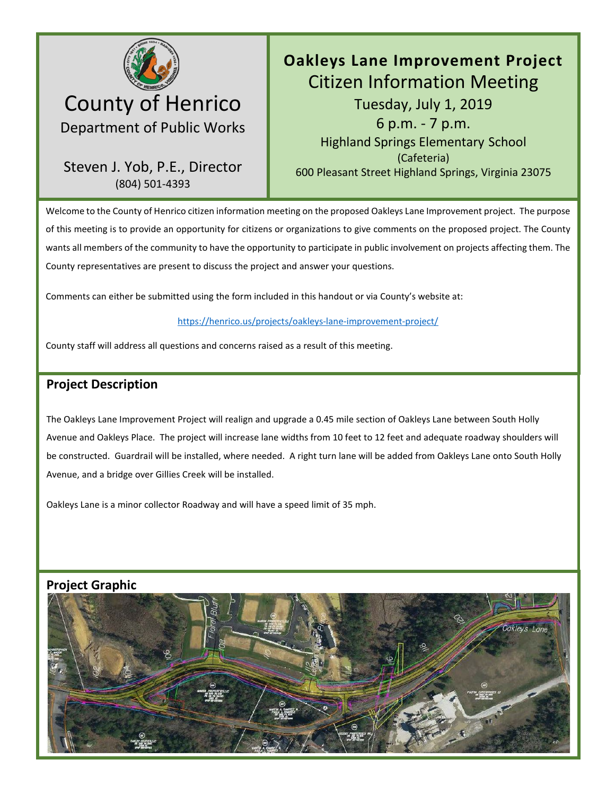

# County of Henrico Department of Public Works

## Steven J. Yob, P.E., Director (804) 501-4393

# **Oakleys Lane Improvement Project**  Citizen Information Meeting Tuesday, July 1, 2019 6 p.m. - 7 p.m. Highland Springs Elementary School (Cafeteria) 600 Pleasant Street Highland Springs, Virginia 23075

Welcome to the County of Henrico citizen information meeting on the proposed Oakleys Lane Improvement project. The purpose of this meeting is to provide an opportunity for citizens or organizations to give comments on the proposed project. The County wants all members of the community to have the opportunity to participate in public involvement on projects affecting them. The County representatives are present to discuss the project and answer your questions.

Comments can either be submitted using the form included in this handout or via County's website at:

#### <https://henrico.us/projects/oakleys-lane-improvement-project/>

County staff will address all questions and concerns raised as a result of this meeting.

### **Project Description**

The Oakleys Lane Improvement Project will realign and upgrade a 0.45 mile section of Oakleys Lane between South Holly Avenue and Oakleys Place. The project will increase lane widths from 10 feet to 12 feet and adequate roadway shoulders will be constructed. Guardrail will be installed, where needed. A right turn lane will be added from Oakleys Lane onto South Holly Avenue, and a bridge over Gillies Creek will be installed.

Oakleys Lane is a minor collector Roadway and will have a speed limit of 35 mph.



### **Project Graphic**